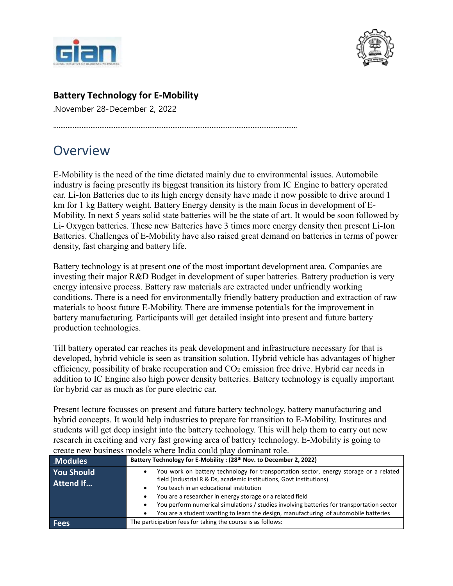



## **Battery Technology for E-Mobility**

.........................................................................................................................................

.November 28-December 2, 2022

# Overview

E-Mobility is the need of the time dictated mainly due to environmental issues. Automobile industry is facing presently its biggest transition its history from IC Engine to battery operated car. Li-Ion Batteries due to its high energy density have made it now possible to drive around 1 km for 1 kg Battery weight. Battery Energy density is the main focus in development of E-Mobility. In next 5 years solid state batteries will be the state of art. It would be soon followed by Li- Oxygen batteries. These new Batteries have 3 times more energy density then present Li-Ion Batteries. Challenges of E-Mobility have also raised great demand on batteries in terms of power density, fast charging and battery life.

Battery technology is at present one of the most important development area. Companies are investing their major R&D Budget in development of super batteries. Battery production is very energy intensive process. Battery raw materials are extracted under unfriendly working conditions. There is a need for environmentally friendly battery production and extraction of raw materials to boost future E-Mobility. There are immense potentials for the improvement in battery manufacturing. Participants will get detailed insight into present and future battery production technologies.

Till battery operated car reaches its peak development and infrastructure necessary for that is developed, hybrid vehicle is seen as transition solution. Hybrid vehicle has advantages of higher efficiency, possibility of brake recuperation and  $CO<sub>2</sub>$  emission free drive. Hybrid car needs in addition to IC Engine also high power density batteries. Battery technology is equally important for hybrid car as much as for pure electric car.

Present lecture focusses on present and future battery technology, battery manufacturing and hybrid concepts. It would help industries to prepare for transition to E-Mobility. Institutes and students will get deep insight into the battery technology. This will help them to carry out new research in exciting and very fast growing area of battery technology. E-Mobility is going to create new business models where India could play dominant role.

| <b>Modules</b>                        | Battery Technology for E-Mobility: (28 <sup>th</sup> Nov. to December 2, 2022)                                                                                                                                                                                                                                                                                                                                                                                                   |
|---------------------------------------|----------------------------------------------------------------------------------------------------------------------------------------------------------------------------------------------------------------------------------------------------------------------------------------------------------------------------------------------------------------------------------------------------------------------------------------------------------------------------------|
| <b>You Should</b><br><b>Attend If</b> | You work on battery technology for transportation sector, energy storage or a related<br>field (Industrial R & Ds, academic institutions, Govt institutions)<br>You teach in an educational institution<br>٠<br>You are a researcher in energy storage or a related field<br>You perform numerical simulations / studies involving batteries for transportation sector<br>٠<br>You are a student wanting to learn the design, manufacturing of automobile batteries<br>$\bullet$ |
| <b>Fees</b>                           | The participation fees for taking the course is as follows:                                                                                                                                                                                                                                                                                                                                                                                                                      |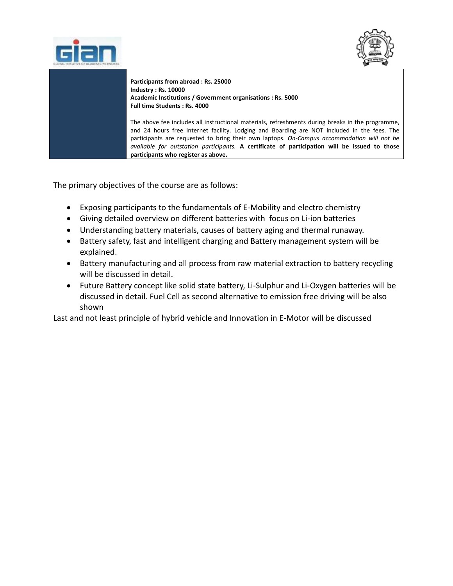



**Participants from abroad : Rs. 25000 Industry : Rs. 10000 Academic Institutions / Government organisations : Rs. 5000 Full time Students : Rs. 4000**

The above fee includes all instructional materials, refreshments during breaks in the programme, and 24 hours free internet facility. Lodging and Boarding are NOT included in the fees. The participants are requested to bring their own laptops. *On-Campus accommodation will not be available for outstation participants.* **A certificate of participation will be issued to those participants who register as above.**

The primary objectives of the course are as follows:

.<br>T

- Exposing participants to the fundamentals of E-Mobility and electro chemistry
- Giving detailed overview on different batteries with focus on Li-ion batteries
- Understanding battery materials, causes of battery aging and thermal runaway.
- Battery safety, fast and intelligent charging and Battery management system will be explained.
- Battery manufacturing and all process from raw material extraction to battery recycling will be discussed in detail.
- Future Battery concept like solid state battery, Li-Sulphur and Li-Oxygen batteries will be discussed in detail. Fuel Cell as second alternative to emission free driving will be also shown

Last and not least principle of hybrid vehicle and Innovation in E-Motor will be discussed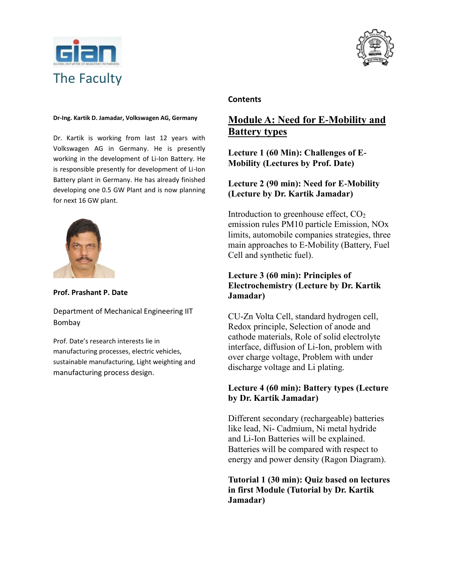



## **Dr-Ing. Kartik D. Jamadar, Volkswagen AG, Germany**

Dr. Kartik is working from last 12 years with Volkswagen AG in Germany. He is presently working in the development of Li-Ion Battery. He is responsible presently for development of Li-Ion Battery plant in Germany. He has already finished developing one 0.5 GW Plant and is now planning for next 16 GW plant.



#### **Prof. Prashant P. Date**

Department of Mechanical Engineering IIT Bombay

Prof. Date's research interests lie in manufacturing processes, electric vehicles, sustainable manufacturing, Light weighting and manufacturing process design.

#### **Contents**

## **Module A: Need for E-Mobility and Battery types**

**Lecture 1 (60 Min): Challenges of E-Mobility (Lectures by Prof. Date)**

## **Lecture 2 (90 min): Need for E-Mobility (Lecture by Dr. Kartik Jamadar)**

Introduction to greenhouse effect,  $CO<sub>2</sub>$ emission rules PM10 particle Emission, NOx limits, automobile companies strategies, three main approaches to E-Mobility (Battery, Fuel Cell and synthetic fuel).

#### **Lecture 3 (60 min): Principles of Electrochemistry (Lecture by Dr. Kartik Jamadar)**

CU-Zn Volta Cell, standard hydrogen cell, Redox principle, Selection of anode and cathode materials, Role of solid electrolyte interface, diffusion of Li-Ion, problem with over charge voltage, Problem with under discharge voltage and Li plating.

#### **Lecture 4 (60 min): Battery types (Lecture by Dr. Kartik Jamadar)**

Different secondary (rechargeable) batteries like lead, Ni- Cadmium, Ni metal hydride and Li-Ion Batteries will be explained. Batteries will be compared with respect to energy and power density (Ragon Diagram).

**Tutorial 1 (30 min): Quiz based on lectures in first Module (Tutorial by Dr. Kartik Jamadar)**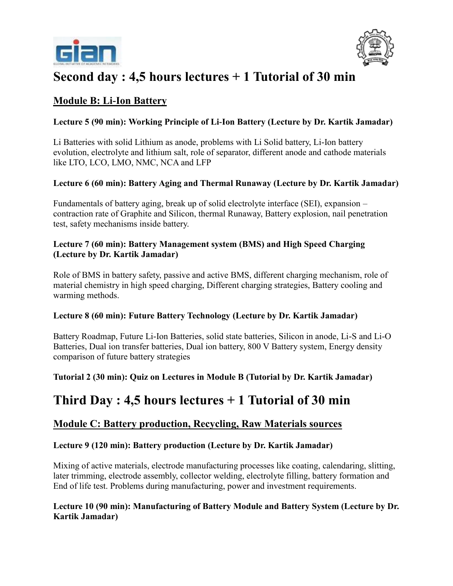



# **Second day : 4,5 hours lectures + 1 Tutorial of 30 min**

## **Module B: Li-Ion Battery**

## **Lecture 5 (90 min): Working Principle of Li-Ion Battery (Lecture by Dr. Kartik Jamadar)**

Li Batteries with solid Lithium as anode, problems with Li Solid battery, Li-Ion battery evolution, electrolyte and lithium salt, role of separator, different anode and cathode materials like LTO, LCO, LMO, NMC, NCA and LFP

## **Lecture 6 (60 min): Battery Aging and Thermal Runaway (Lecture by Dr. Kartik Jamadar)**

Fundamentals of battery aging, break up of solid electrolyte interface (SEI), expansion – contraction rate of Graphite and Silicon, thermal Runaway, Battery explosion, nail penetration test, safety mechanisms inside battery.

### **Lecture 7 (60 min): Battery Management system (BMS) and High Speed Charging (Lecture by Dr. Kartik Jamadar)**

Role of BMS in battery safety, passive and active BMS, different charging mechanism, role of material chemistry in high speed charging, Different charging strategies, Battery cooling and warming methods.

## **Lecture 8 (60 min): Future Battery Technology (Lecture by Dr. Kartik Jamadar)**

Battery Roadmap, Future Li-Ion Batteries, solid state batteries, Silicon in anode, Li-S and Li-O Batteries, Dual ion transfer batteries, Dual ion battery, 800 V Battery system, Energy density comparison of future battery strategies

**Tutorial 2 (30 min): Quiz on Lectures in Module B (Tutorial by Dr. Kartik Jamadar)**

## **Third Day : 4,5 hours lectures + 1 Tutorial of 30 min**

## **Module C: Battery production, Recycling, Raw Materials sources**

## **Lecture 9 (120 min): Battery production (Lecture by Dr. Kartik Jamadar)**

Mixing of active materials, electrode manufacturing processes like coating, calendaring, slitting, later trimming, electrode assembly, collector welding, electrolyte filling, battery formation and End of life test. Problems during manufacturing, power and investment requirements.

## **Lecture 10 (90 min): Manufacturing of Battery Module and Battery System (Lecture by Dr. Kartik Jamadar)**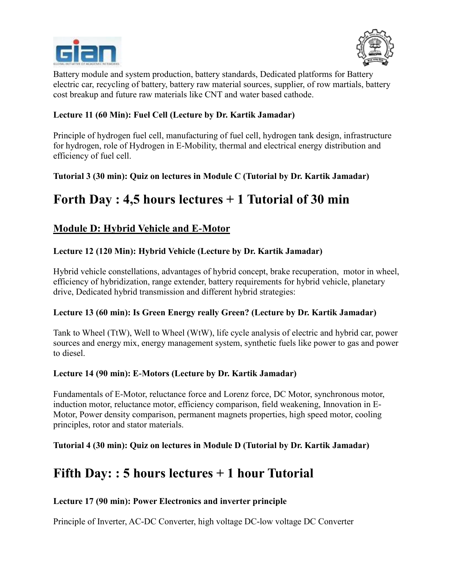



Battery module and system production, battery standards, Dedicated platforms for Battery electric car, recycling of battery, battery raw material sources, supplier, of row martials, battery cost breakup and future raw materials like CNT and water based cathode.

## **Lecture 11 (60 Min): Fuel Cell (Lecture by Dr. Kartik Jamadar)**

Principle of hydrogen fuel cell, manufacturing of fuel cell, hydrogen tank design, infrastructure for hydrogen, role of Hydrogen in E-Mobility, thermal and electrical energy distribution and efficiency of fuel cell.

**Tutorial 3 (30 min): Quiz on lectures in Module C (Tutorial by Dr. Kartik Jamadar)**

# **Forth Day : 4,5 hours lectures + 1 Tutorial of 30 min**

## **Module D: Hybrid Vehicle and E-Motor**

## **Lecture 12 (120 Min): Hybrid Vehicle (Lecture by Dr. Kartik Jamadar)**

Hybrid vehicle constellations, advantages of hybrid concept, brake recuperation, motor in wheel, efficiency of hybridization, range extender, battery requirements for hybrid vehicle, planetary drive, Dedicated hybrid transmission and different hybrid strategies:

## **Lecture 13 (60 min): Is Green Energy really Green? (Lecture by Dr. Kartik Jamadar)**

Tank to Wheel (TtW), Well to Wheel (WtW), life cycle analysis of electric and hybrid car, power sources and energy mix, energy management system, synthetic fuels like power to gas and power to diesel.

## **Lecture 14 (90 min): E-Motors (Lecture by Dr. Kartik Jamadar)**

Fundamentals of E-Motor, reluctance force and Lorenz force, DC Motor, synchronous motor, induction motor, reluctance motor, efficiency comparison, field weakening, Innovation in E-Motor, Power density comparison, permanent magnets properties, high speed motor, cooling principles, rotor and stator materials.

## **Tutorial 4 (30 min): Quiz on lectures in Module D (Tutorial by Dr. Kartik Jamadar)**

## **Fifth Day: : 5 hours lectures + 1 hour Tutorial**

## **Lecture 17 (90 min): Power Electronics and inverter principle**

Principle of Inverter, AC-DC Converter, high voltage DC-low voltage DC Converter